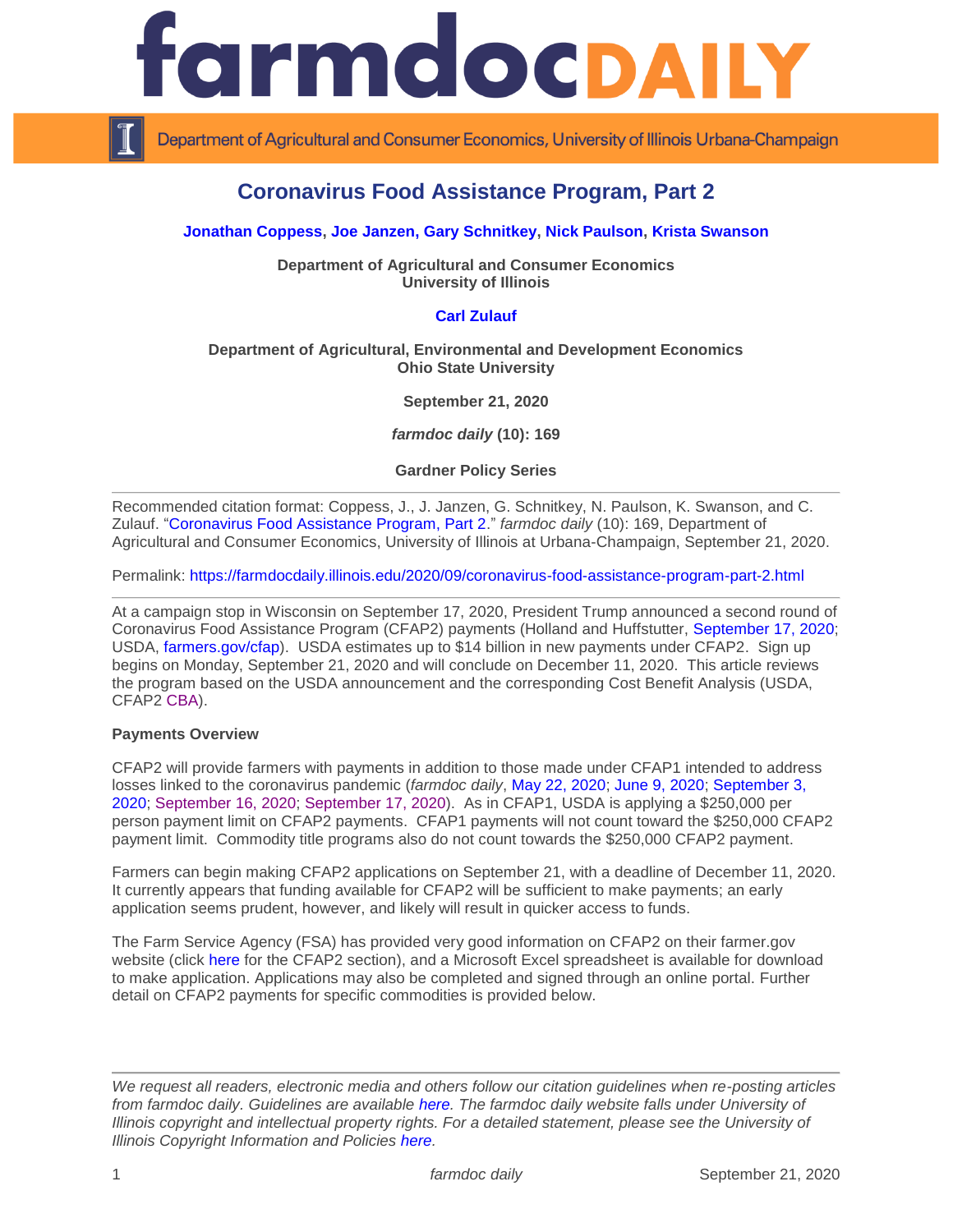# armdocpally

Department of Agricultural and Consumer Economics, University of Illinois Urbana-Champaign

# **Coronavirus Food Assistance Program, Part 2**

### **[Jonathan Coppess,](https://ace.illinois.edu/directory/jwcoppes) [Joe Janzen,](https://ace.illinois.edu/directory/jjanzen) [Gary Schnitkey,](https://ace.illinois.edu/directory/schnitke) [Nick Paulson,](https://ace.illinois.edu/directory/npaulson) [Krista Swanson](https://ace.illinois.edu/directory/krista)**

**Department of Agricultural and Consumer Economics University of Illinois**

## **[Carl Zulauf](http://aede.osu.edu/our-people/carl-zulauf)**

### **Department of Agricultural, Environmental and Development Economics Ohio State University**

**September 21, 2020**

*farmdoc daily* **(10): 169**

**Gardner Policy Series**

Recommended citation format: Coppess, J., J. Janzen, G. Schnitkey, N. Paulson, K. Swanson, and C. Zulauf. ["Coronavirus Food Assistance Program, Part 2.](https://farmdocdaily.illinois.edu/2020/09/coronavirus-food-assistance-program-part-2.html)" *farmdoc daily* (10): 169, Department of Agricultural and Consumer Economics, University of Illinois at Urbana-Champaign, September 21, 2020.

Permalink:<https://farmdocdaily.illinois.edu/2020/09/coronavirus-food-assistance-program-part-2.html>

At a campaign stop in Wisconsin on September 17, 2020, President Trump announced a second round of Coronavirus Food Assistance Program (CFAP2) payments (Holland and Huffstutter, [September 17, 2020;](https://www.reuters.com/article/health-coronavirus-usa-farmers/update-4-in-wisconsin-trump-announces-13-billion-in-farm-aid-idUSL1N2GE27E) USDA, [farmers.gov/cfap\)](https://www.farmers.gov/cfap). USDA estimates up to \$14 billion in new payments under CFAP2. Sign up begins on Monday, September 21, 2020 and will conclude on December 11, 2020. This article reviews the program based on the USDA announcement and the corresponding Cost Benefit Analysis (USDA, CFAP2 [CBA\)](https://www.farmers.gov/sites/default/files/documents/CBA%20CFAP2%200915%20%281%29.pdf).

### **Payments Overview**

CFAP2 will provide farmers with payments in addition to those made under CFAP1 intended to address losses linked to the coronavirus pandemic (*farmdoc daily*, [May 22, 2020;](https://farmdocdaily.illinois.edu/2020/05/coronavirus-food-assistance-program-cfap-rules-announced.html) [June 9, 2020;](https://farmdocdaily.illinois.edu/2020/06/cfap-applications-for-livestock-and-dairy.html) [September 3,](https://farmdocdaily.illinois.edu/2020/09/cfap-payments-to-date-and-possible-future-ad-hoc-farm-payments.html)  [2020;](https://farmdocdaily.illinois.edu/2020/09/cfap-payments-to-date-and-possible-future-ad-hoc-farm-payments.html) [September 16, 2020;](https://farmdocdaily.illinois.edu/2020/09/trade-and-coivd-19-ad-hoc-payments-by-commodity.html) [September 17, 2020\)](https://farmdocdaily.illinois.edu/2020/09/the-distribution-of-cfap-payments-across-commodities-and-states.html). As in CFAP1, USDA is applying a \$250,000 per person payment limit on CFAP2 payments. CFAP1 payments will not count toward the \$250,000 CFAP2 payment limit. Commodity title programs also do not count towards the \$250,000 CFAP2 payment.

Farmers can begin making CFAP2 applications on September 21, with a deadline of December 11, 2020. It currently appears that funding available for CFAP2 will be sufficient to make payments; an early application seems prudent, however, and likely will result in quicker access to funds.

The Farm Service Agency (FSA) has provided very good information on CFAP2 on their farmer.gov website (click [here](https://www.farmers.gov/cfap) for the CFAP2 section), and a Microsoft Excel spreadsheet is available for download to make application. Applications may also be completed and signed through an online portal. Further detail on CFAP2 payments for specific commodities is provided below.

*We request all readers, electronic media and others follow our citation guidelines when re-posting articles from farmdoc daily. Guidelines are available [here.](http://farmdocdaily.illinois.edu/citationguide.html) The farmdoc daily website falls under University of Illinois copyright and intellectual property rights. For a detailed statement, please see the University of Illinois Copyright Information and Policies [here.](http://www.cio.illinois.edu/policies/copyright/)*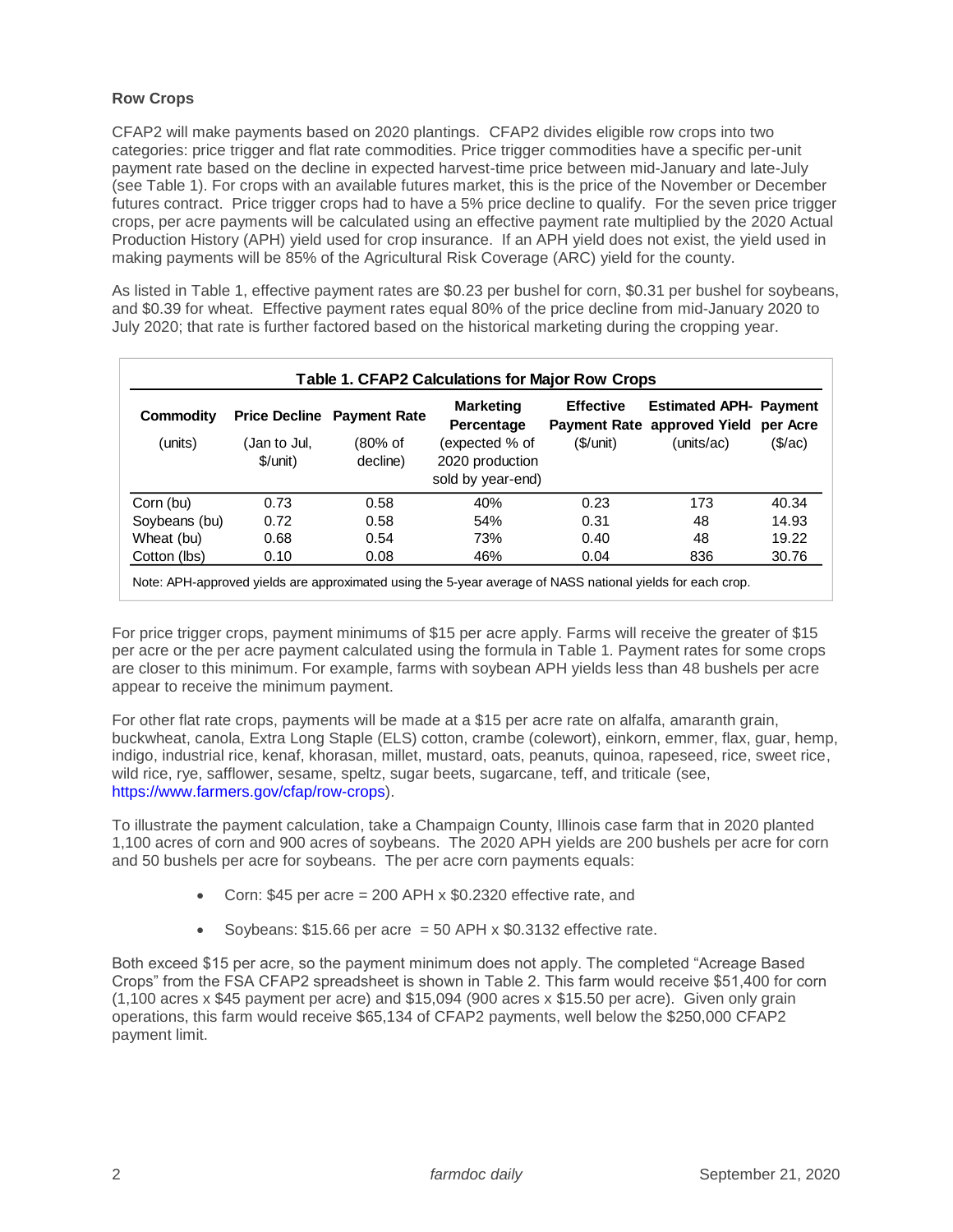### **Row Crops**

CFAP2 will make payments based on 2020 plantings. CFAP2 divides eligible row crops into two categories: price trigger and flat rate commodities. Price trigger commodities have a specific per-unit payment rate based on the decline in expected harvest-time price between mid-January and late-July (see Table 1). For crops with an available futures market, this is the price of the November or December futures contract. Price trigger crops had to have a 5% price decline to qualify. For the seven price trigger crops, per acre payments will be calculated using an effective payment rate multiplied by the 2020 Actual Production History (APH) yield used for crop insurance. If an APH yield does not exist, the yield used in making payments will be 85% of the Agricultural Risk Coverage (ARC) yield for the county.

As listed in Table 1, effective payment rates are \$0.23 per bushel for corn, \$0.31 per bushel for soybeans, and \$0.39 for wheat. Effective payment rates equal 80% of the price decline from mid-January 2020 to July 2020; that rate is further factored based on the historical marketing during the cropping year.

|               | Table 1. CFAP2 Calculations for Major Row Crops |                                   |                                      |                              |                                                                            |                     |  |  |  |  |  |  |  |  |
|---------------|-------------------------------------------------|-----------------------------------|--------------------------------------|------------------------------|----------------------------------------------------------------------------|---------------------|--|--|--|--|--|--|--|--|
| Commodity     |                                                 | <b>Price Decline Payment Rate</b> | <b>Marketing</b><br>Percentage       | <b>Effective</b><br>(S/unit) | <b>Estimated APH- Payment</b><br>Payment Rate approved Yield<br>(units/ac) | per Acre<br>(\$/ac) |  |  |  |  |  |  |  |  |
| (units)       | (Jan to Jul.                                    | (80% of                           | (expected % of                       |                              |                                                                            |                     |  |  |  |  |  |  |  |  |
|               | \$/unit)                                        | decline)                          | 2020 production<br>sold by year-end) |                              |                                                                            |                     |  |  |  |  |  |  |  |  |
| Corn (bu)     | 0.73                                            | 0.58                              | 40%                                  | 0.23                         | 173                                                                        | 40.34               |  |  |  |  |  |  |  |  |
| Soybeans (bu) | 0.72                                            | 0.58                              | 54%                                  | 0.31                         | 48                                                                         | 14.93               |  |  |  |  |  |  |  |  |
| Wheat (bu)    | 0.68                                            | 0.54                              | 73%                                  | 0.40                         | 48                                                                         | 19.22               |  |  |  |  |  |  |  |  |
| Cotton (lbs)  | 0.10                                            | 0.08                              | 46%                                  | 0.04                         | 836                                                                        | 30.76               |  |  |  |  |  |  |  |  |
|               |                                                 |                                   |                                      |                              |                                                                            |                     |  |  |  |  |  |  |  |  |

Note: APH-approved yields are approximated using the 5-year average of NASS national yields for each crop.

For price trigger crops, payment minimums of \$15 per acre apply. Farms will receive the greater of \$15 per acre or the per acre payment calculated using the formula in Table 1. Payment rates for some crops are closer to this minimum. For example, farms with soybean APH yields less than 48 bushels per acre appear to receive the minimum payment.

For other flat rate crops, payments will be made at a \$15 per acre rate on alfalfa, amaranth grain, buckwheat, canola, Extra Long Staple (ELS) cotton, crambe (colewort), einkorn, emmer, flax, guar, hemp, indigo, industrial rice, kenaf, khorasan, millet, mustard, oats, peanuts, quinoa, rapeseed, rice, sweet rice, wild rice, rye, safflower, sesame, speltz, sugar beets, sugarcane, teff, and triticale (see, [https://www.farmers.gov/cfap/row-crops\)](https://www.farmers.gov/cfap/row-crops).

To illustrate the payment calculation, take a Champaign County, Illinois case farm that in 2020 planted 1,100 acres of corn and 900 acres of soybeans. The 2020 APH yields are 200 bushels per acre for corn and 50 bushels per acre for soybeans. The per acre corn payments equals:

- Corn: \$45 per acre = 200 APH  $\times$  \$0.2320 effective rate, and
- Soybeans:  $$15.66$  per acre = 50 APH x  $$0.3132$  effective rate.

Both exceed \$15 per acre, so the payment minimum does not apply. The completed "Acreage Based Crops" from the FSA CFAP2 spreadsheet is shown in Table 2. This farm would receive \$51,400 for corn (1,100 acres x \$45 payment per acre) and \$15,094 (900 acres x \$15.50 per acre). Given only grain operations, this farm would receive \$65,134 of CFAP2 payments, well below the \$250,000 CFAP2 payment limit.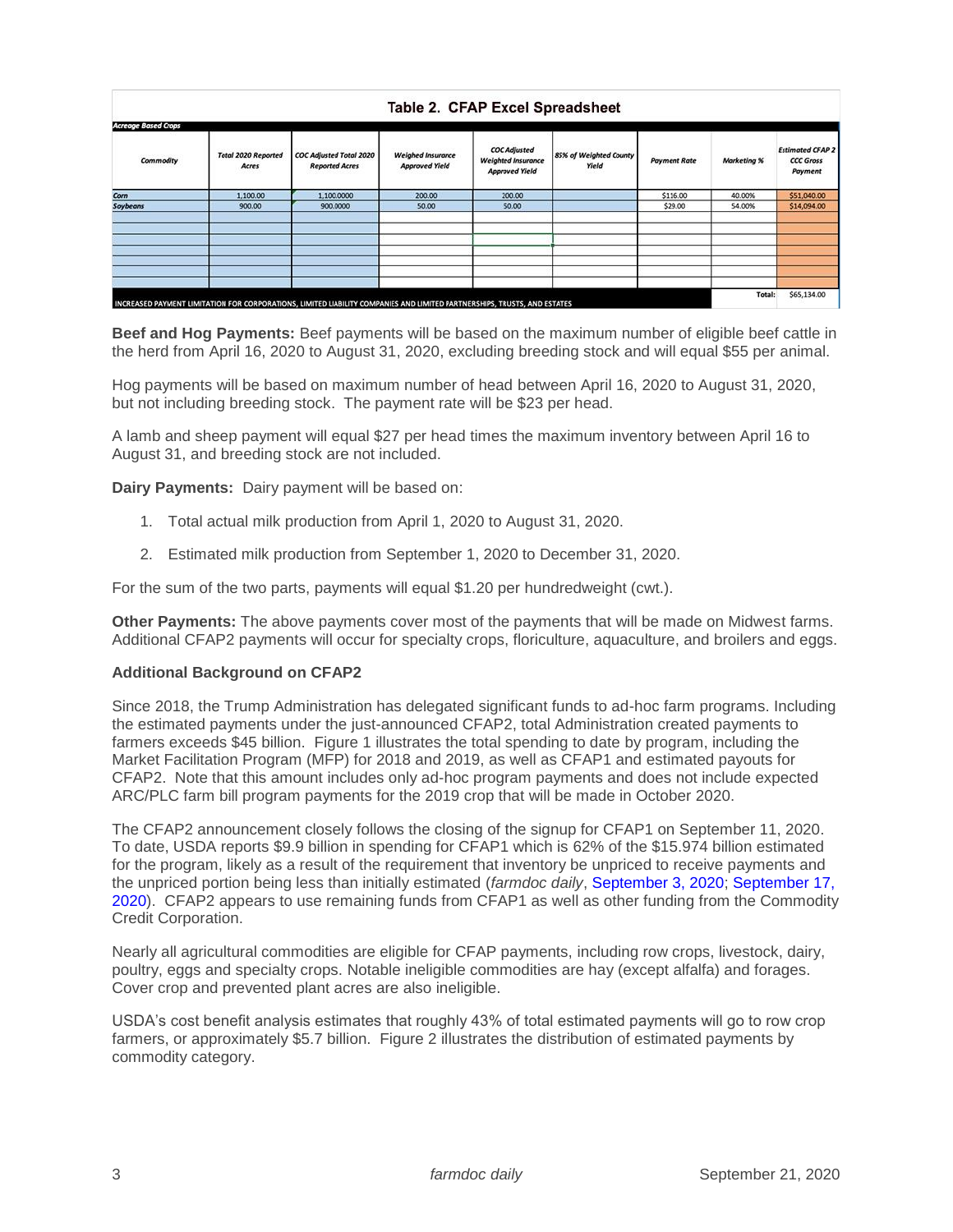| <b>Acreage Based Crops</b> |                                     |                                                         |                                                   |                                                                           |                                 |                     |             |                                                        |
|----------------------------|-------------------------------------|---------------------------------------------------------|---------------------------------------------------|---------------------------------------------------------------------------|---------------------------------|---------------------|-------------|--------------------------------------------------------|
| Commodity                  | <b>Total 2020 Reported</b><br>Acres | <b>COC Adjusted Total 2020</b><br><b>Reported Acres</b> | <b>Weighed Insurance</b><br><b>Approved Yield</b> | <b>COC Adjusted</b><br><b>Weighted Insurance</b><br><b>Approved Yield</b> | 85% of Weighted County<br>Yield | <b>Payment Rate</b> | Marketing % | <b>Estimated CFAP 2</b><br><b>CCC Gross</b><br>Payment |
| Corn                       | 1,100.00                            | 1,100,0000                                              | 200.00                                            | 200.00                                                                    |                                 | \$116.00            | 40.00%      | \$51,040.00                                            |
| Soybeans                   | 900.00                              | 900.0000                                                | 50.00                                             | 50.00                                                                     |                                 | \$29.00             | 54.00%      | \$14,094.00                                            |
|                            |                                     |                                                         |                                                   |                                                                           |                                 |                     |             |                                                        |
|                            |                                     |                                                         |                                                   |                                                                           |                                 |                     |             |                                                        |
|                            |                                     |                                                         |                                                   |                                                                           |                                 |                     |             |                                                        |

**Beef and Hog Payments:** Beef payments will be based on the maximum number of eligible beef cattle in the herd from April 16, 2020 to August 31, 2020, excluding breeding stock and will equal \$55 per animal.

Hog payments will be based on maximum number of head between April 16, 2020 to August 31, 2020, but not including breeding stock. The payment rate will be \$23 per head.

A lamb and sheep payment will equal \$27 per head times the maximum inventory between April 16 to August 31, and breeding stock are not included.

**Dairy Payments:** Dairy payment will be based on:

- 1. Total actual milk production from April 1, 2020 to August 31, 2020.
- 2. Estimated milk production from September 1, 2020 to December 31, 2020.

For the sum of the two parts, payments will equal \$1.20 per hundredweight (cwt.).

**Other Payments:** The above payments cover most of the payments that will be made on Midwest farms. Additional CFAP2 payments will occur for specialty crops, floriculture, aquaculture, and broilers and eggs.

### **Additional Background on CFAP2**

Since 2018, the Trump Administration has delegated significant funds to ad-hoc farm programs. Including the estimated payments under the just-announced CFAP2, total Administration created payments to farmers exceeds \$45 billion. Figure 1 illustrates the total spending to date by program, including the Market Facilitation Program (MFP) for 2018 and 2019, as well as CFAP1 and estimated payouts for CFAP2. Note that this amount includes only ad-hoc program payments and does not include expected ARC/PLC farm bill program payments for the 2019 crop that will be made in October 2020.

The CFAP2 announcement closely follows the closing of the signup for CFAP1 on September 11, 2020. To date, USDA reports \$9.9 billion in spending for CFAP1 which is 62% of the \$15.974 billion estimated for the program, likely as a result of the requirement that inventory be unpriced to receive payments and the unpriced portion being less than initially estimated (*farmdoc daily*, [September 3, 2020;](https://farmdocdaily.illinois.edu/2020/09/cfap-payments-to-date-and-possible-future-ad-hoc-farm-payments.html) [September 17,](https://farmdocdaily.illinois.edu/2020/09/the-distribution-of-cfap-payments-across-commodities-and-states.html)  [2020\)](https://farmdocdaily.illinois.edu/2020/09/the-distribution-of-cfap-payments-across-commodities-and-states.html). CFAP2 appears to use remaining funds from CFAP1 as well as other funding from the Commodity Credit Corporation.

Nearly all agricultural commodities are eligible for CFAP payments, including row crops, livestock, dairy, poultry, eggs and specialty crops. Notable ineligible commodities are hay (except alfalfa) and forages. Cover crop and prevented plant acres are also ineligible.

USDA's cost benefit analysis estimates that roughly 43% of total estimated payments will go to row crop farmers, or approximately \$5.7 billion. Figure 2 illustrates the distribution of estimated payments by commodity category.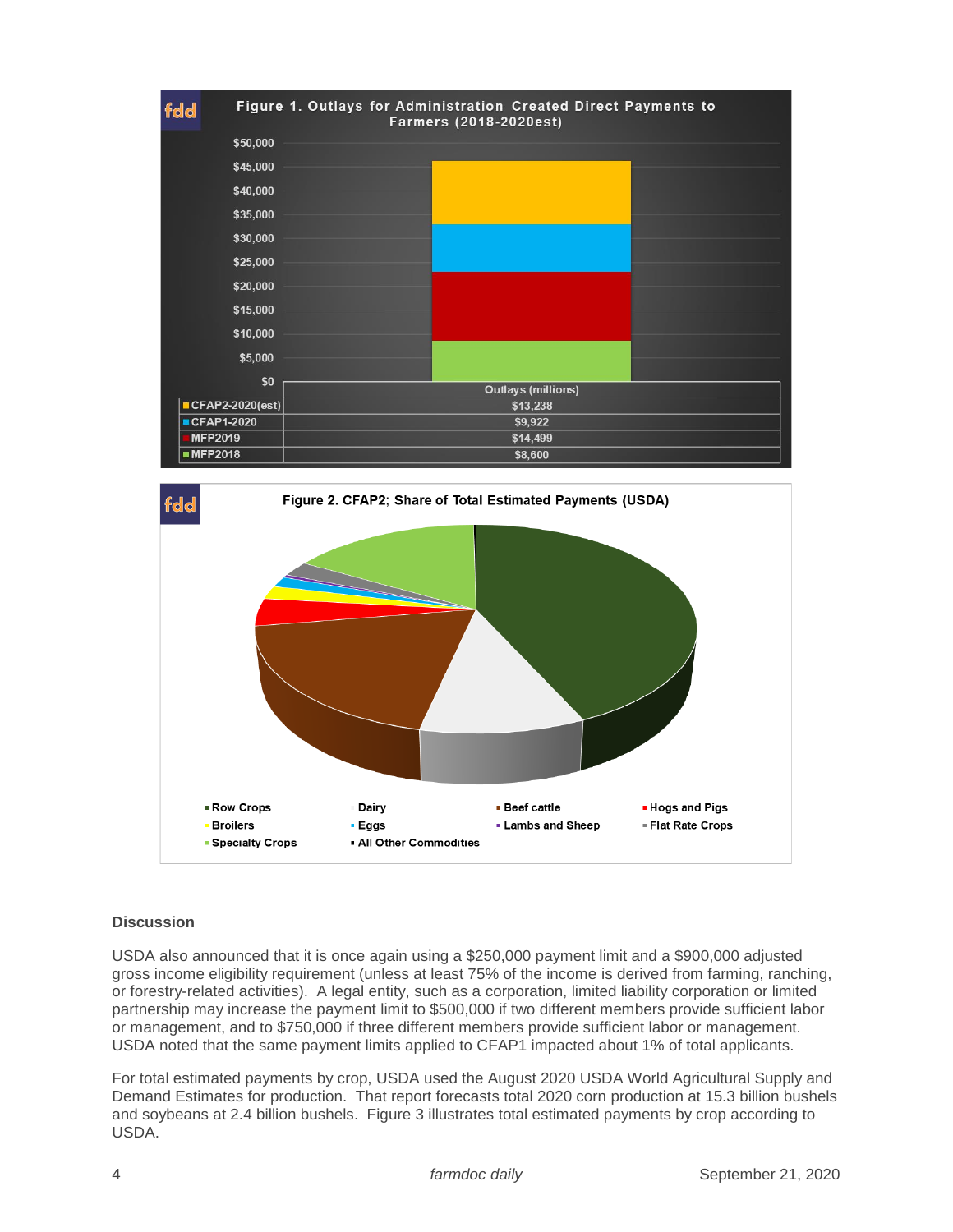



## **Discussion**

USDA also announced that it is once again using a \$250,000 payment limit and a \$900,000 adjusted gross income eligibility requirement (unless at least 75% of the income is derived from farming, ranching, or forestry-related activities). A legal entity, such as a corporation, limited liability corporation or limited partnership may increase the payment limit to \$500,000 if two different members provide sufficient labor or management, and to \$750,000 if three different members provide sufficient labor or management. USDA noted that the same payment limits applied to CFAP1 impacted about 1% of total applicants.

For total estimated payments by crop, USDA used the August 2020 USDA World Agricultural Supply and Demand Estimates for production. That report forecasts total 2020 corn production at 15.3 billion bushels and soybeans at 2.4 billion bushels. Figure 3 illustrates total estimated payments by crop according to USDA.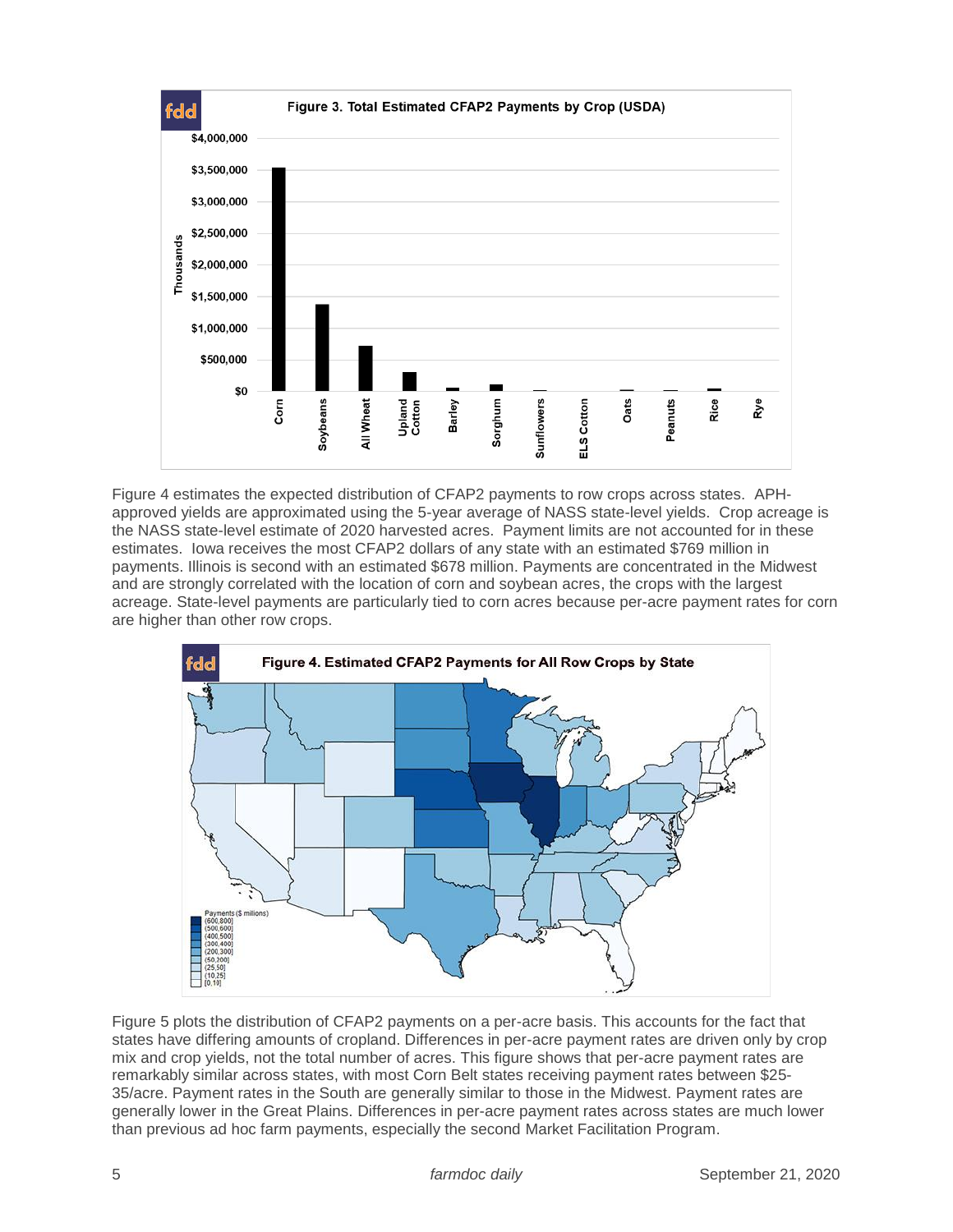

Figure 4 estimates the expected distribution of CFAP2 payments to row crops across states. APHapproved yields are approximated using the 5-year average of NASS state-level yields. Crop acreage is the NASS state-level estimate of 2020 harvested acres. Payment limits are not accounted for in these estimates. Iowa receives the most CFAP2 dollars of any state with an estimated \$769 million in payments. Illinois is second with an estimated \$678 million. Payments are concentrated in the Midwest and are strongly correlated with the location of corn and soybean acres, the crops with the largest acreage. State-level payments are particularly tied to corn acres because per-acre payment rates for corn are higher than other row crops.



Figure 5 plots the distribution of CFAP2 payments on a per-acre basis. This accounts for the fact that states have differing amounts of cropland. Differences in per-acre payment rates are driven only by crop mix and crop yields, not the total number of acres. This figure shows that per-acre payment rates are remarkably similar across states, with most Corn Belt states receiving payment rates between \$25- 35/acre. Payment rates in the South are generally similar to those in the Midwest. Payment rates are generally lower in the Great Plains. Differences in per-acre payment rates across states are much lower than previous ad hoc farm payments, especially the second Market Facilitation Program.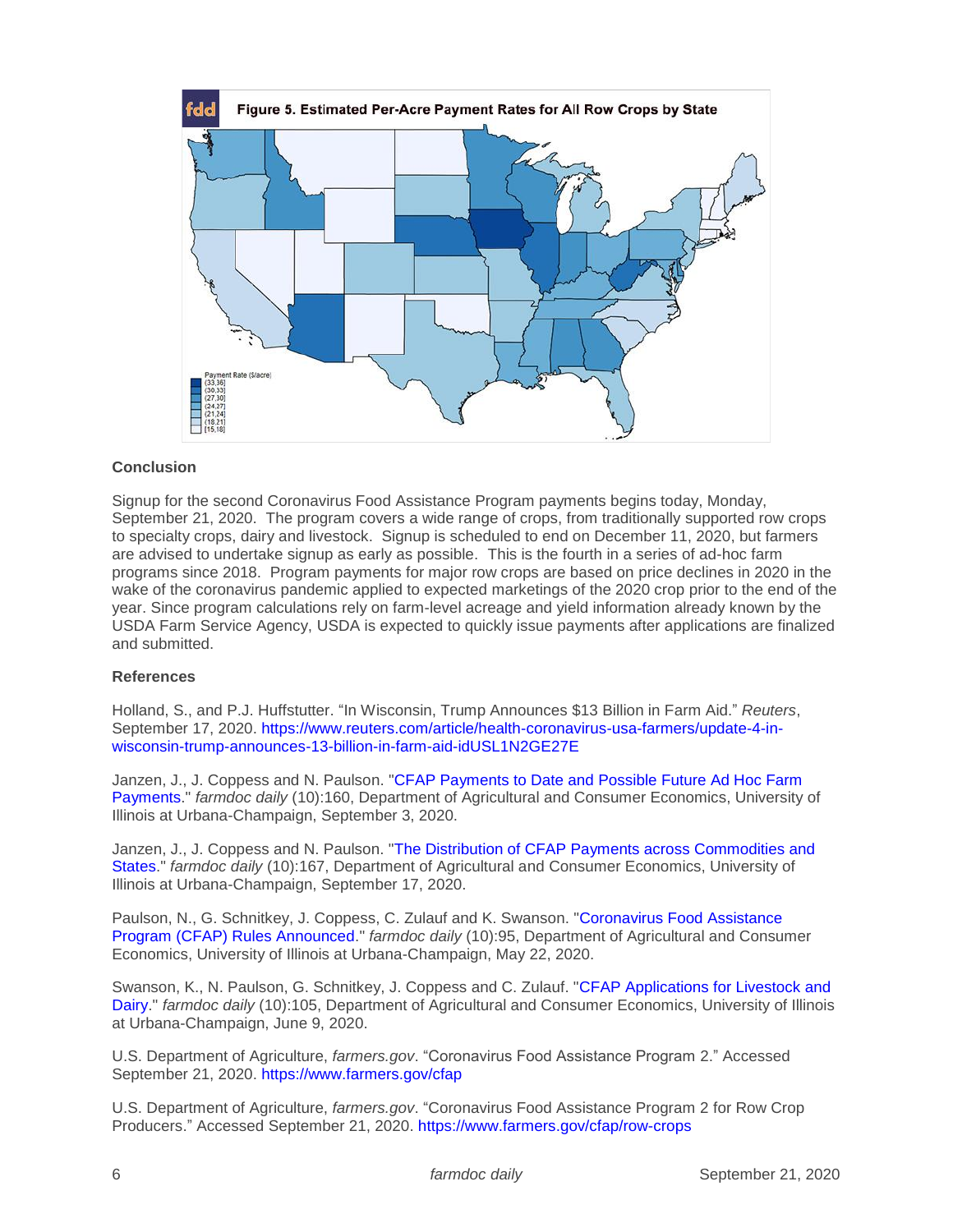

### **Conclusion**

Signup for the second Coronavirus Food Assistance Program payments begins today, Monday, September 21, 2020. The program covers a wide range of crops, from traditionally supported row crops to specialty crops, dairy and livestock. Signup is scheduled to end on December 11, 2020, but farmers are advised to undertake signup as early as possible. This is the fourth in a series of ad-hoc farm programs since 2018. Program payments for major row crops are based on price declines in 2020 in the wake of the coronavirus pandemic applied to expected marketings of the 2020 crop prior to the end of the year. Since program calculations rely on farm-level acreage and yield information already known by the USDA Farm Service Agency, USDA is expected to quickly issue payments after applications are finalized and submitted.

### **References**

Holland, S., and P.J. Huffstutter. "In Wisconsin, Trump Announces \$13 Billion in Farm Aid." *Reuters*, September 17, 2020. [https://www.reuters.com/article/health-coronavirus-usa-farmers/update-4-in](https://www.reuters.com/article/health-coronavirus-usa-farmers/update-4-in-wisconsin-trump-announces-13-billion-in-farm-aid-idUSL1N2GE27E)[wisconsin-trump-announces-13-billion-in-farm-aid-idUSL1N2GE27E](https://www.reuters.com/article/health-coronavirus-usa-farmers/update-4-in-wisconsin-trump-announces-13-billion-in-farm-aid-idUSL1N2GE27E)

Janzen, J., J. Coppess and N. Paulson. "CFAP Payments to Date and Possible Future Ad Hoc Farm [Payments.](https://farmdocdaily.illinois.edu/2020/09/cfap-payments-to-date-and-possible-future-ad-hoc-farm-payments.html)" *farmdoc daily* (10):160, Department of Agricultural and Consumer Economics, University of Illinois at Urbana-Champaign, September 3, 2020.

Janzen, J., J. Coppess and N. Paulson. ["The Distribution of CFAP Payments across Commodities and](https://farmdocdaily.illinois.edu/2020/09/the-distribution-of-cfap-payments-across-commodities-and-states.html)  [States.](https://farmdocdaily.illinois.edu/2020/09/the-distribution-of-cfap-payments-across-commodities-and-states.html)" *farmdoc daily* (10):167, Department of Agricultural and Consumer Economics, University of Illinois at Urbana-Champaign, September 17, 2020.

Paulson, N., G. Schnitkey, J. Coppess, C. Zulauf and K. Swanson. ["Coronavirus Food Assistance](https://farmdocdaily.illinois.edu/2020/05/coronavirus-food-assistance-program-cfap-rules-announced.html)  [Program \(CFAP\) Rules Announced.](https://farmdocdaily.illinois.edu/2020/05/coronavirus-food-assistance-program-cfap-rules-announced.html)" *farmdoc daily* (10):95, Department of Agricultural and Consumer Economics, University of Illinois at Urbana-Champaign, May 22, 2020.

Swanson, K., N. Paulson, G. Schnitkey, J. Coppess and C. Zulauf. ["CFAP Applications for Livestock and](https://farmdocdaily.illinois.edu/2020/06/cfap-applications-for-livestock-and-dairy.html)  [Dairy.](https://farmdocdaily.illinois.edu/2020/06/cfap-applications-for-livestock-and-dairy.html)" *farmdoc daily* (10):105, Department of Agricultural and Consumer Economics, University of Illinois at Urbana-Champaign, June 9, 2020.

U.S. Department of Agriculture, *farmers.gov*. "Coronavirus Food Assistance Program 2." Accessed September 21, 2020.<https://www.farmers.gov/cfap>

U.S. Department of Agriculture, *farmers.gov*. "Coronavirus Food Assistance Program 2 for Row Crop Producers." Accessed September 21, 2020.<https://www.farmers.gov/cfap/row-crops>